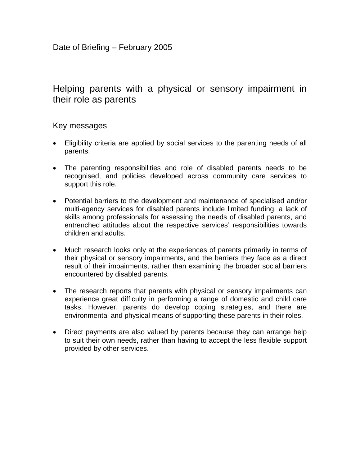# Helping parents with a physical or sensory impairment in their role as parents

### Key messages

- Eligibility criteria are applied by social services to the parenting needs of all parents.
- The parenting responsibilities and role of disabled parents needs to be recognised, and policies developed across community care services to support this role.
- Potential barriers to the development and maintenance of specialised and/or multi-agency services for disabled parents include limited funding, a lack of skills among professionals for assessing the needs of disabled parents, and entrenched attitudes about the respective services' responsibilities towards children and adults.
- Much research looks only at the experiences of parents primarily in terms of their physical or sensory impairments, and the barriers they face as a direct result of their impairments, rather than examining the broader social barriers encountered by disabled parents.
- The research reports that parents with physical or sensory impairments can experience great difficulty in performing a range of domestic and child care tasks. However, parents do develop coping strategies, and there are environmental and physical means of supporting these parents in their roles.
- Direct payments are also valued by parents because they can arrange help to suit their own needs, rather than having to accept the less flexible support provided by other services.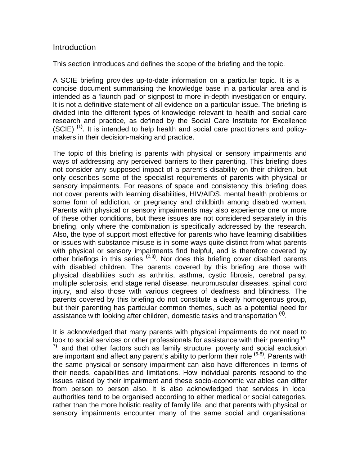### **Introduction**

This section introduces and defines the scope of the briefing and the topic.

A SCIE briefing provides up-to-date information on a particular topic. It is a concise document summarising the knowledge base in a particular area and is intended as a 'launch pad' or signpost to more in-depth investigation or enquiry. It is not a definitive statement of all evidence on a particular issue. The briefing is divided into the different types of knowledge relevant to health and social care research and practice, as defined by the Social Care Institute for Excellence (SCIE) **(**1**)** . It is intended to help health and social care practitioners and policymakers in their decision-making and practice.

The topic of this briefing is parents with physical or sensory impairments and ways of addressing any perceived barriers to their parenting. This briefing does not consider any supposed impact of a parent's disability on their children, but only describes some of the specialist requirements of parents with physical or sensory impairments. For reasons of space and consistency this briefing does not cover parents with learning disabilities, HIV/AIDS, mental health problems or some form of addiction, or pregnancy and childbirth among disabled women. Parents with physical or sensory impairments may also experience one or more of these other conditions, but these issues are not considered separately in this briefing, only where the combination is specifically addressed by the research. Also, the type of support most effective for parents who have learning disabilities or issues with substance misuse is in some ways quite distinct from what parents with physical or sensory impairments find helpful, and is therefore covered by other briefings in this series **(**2,3**)** . Nor does this briefing cover disabled parents with disabled children. The parents covered by this briefing are those with physical disabilities such as arthritis, asthma, cystic fibrosis, cerebral palsy, multiple sclerosis, end stage renal disease, neuromuscular diseases, spinal cord injury, and also those with various degrees of deafness and blindness. The parents covered by this briefing do not constitute a clearly homogenous group, but their parenting has particular common themes, such as a potential need for assistance with looking after children, domestic tasks and transportation **(**4**)** .

It is acknowledged that many parents with physical impairments do not need to look to social services or other professionals for assistance with their parenting **(**5- 7**)** , and that other factors such as family structure, poverty and social exclusion are important and affect any parent's ability to perform their role **(**6-8**)** . Parents with the same physical or sensory impairment can also have differences in terms of their needs, capabilities and limitations. How individual parents respond to the issues raised by their impairment and these socio-economic variables can differ from person to person also. It is also acknowledged that services in local authorities tend to be organised according to either medical or social categories, rather than the more holistic reality of family life, and that parents with physical or sensory impairments encounter many of the same social and organisational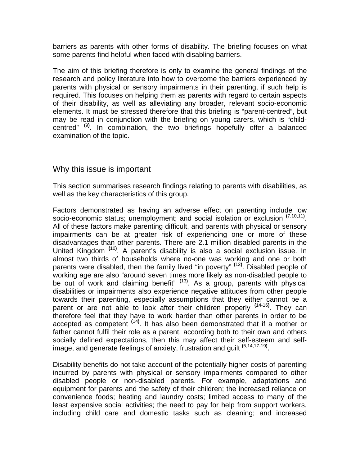barriers as parents with other forms of disability. The briefing focuses on what some parents find helpful when faced with disabling barriers.

The aim of this briefing therefore is only to examine the general findings of the research and policy literature into how to overcome the barriers experienced by parents with physical or sensory impairments in their parenting, if such help is required. This focuses on helping them as parents with regard to certain aspects of their disability, as well as alleviating any broader, relevant socio-economic elements. It must be stressed therefore that this briefing is "parent-centred", but may be read in conjunction with the briefing on young carers, which is "childcentred" **(**9**)** . In combination, the two briefings hopefully offer a balanced examination of the topic.

### Why this issue is important

This section summarises research findings relating to parents with disabilities, as well as the key characteristics of this group.

Factors demonstrated as having an adverse effect on parenting include low socio-economic status; unemployment; and social isolation or exclusion **(**7,10,11**)** . All of these factors make parenting difficult, and parents with physical or sensory impairments can be at greater risk of experiencing one or more of these disadvantages than other parents. There are 2.1 million disabled parents in the United Kingdom **(**10**)** . A parent's disability is also a social exclusion issue. In almost two thirds of households where no-one was working and one or both parents were disabled, then the family lived "in poverty" **(**12**)** . Disabled people of working age are also "around seven times more likely as non-disabled people to be out of work and claiming benefit" **(**13**)** . As a group, parents with physical disabilities or impairments also experience negative attitudes from other people towards their parenting, especially assumptions that they either cannot be a parent or are not able to look after their children properly **(**14-16**)** . They can therefore feel that they have to work harder than other parents in order to be accepted as competent **(**14**)** . It has also been demonstrated that if a mother or father cannot fulfil their role as a parent, according both to their own and others socially defined expectations, then this may affect their self-esteem and selfimage, and generate feelings of anxiety, frustration and guilt **(**5,14,17-19**)** .

Disability benefits do not take account of the potentially higher costs of parenting incurred by parents with physical or sensory impairments compared to other disabled people or non-disabled parents. For example, adaptations and equipment for parents and the safety of their children; the increased reliance on convenience foods; heating and laundry costs; limited access to many of the least expensive social activities; the need to pay for help from support workers, including child care and domestic tasks such as cleaning; and increased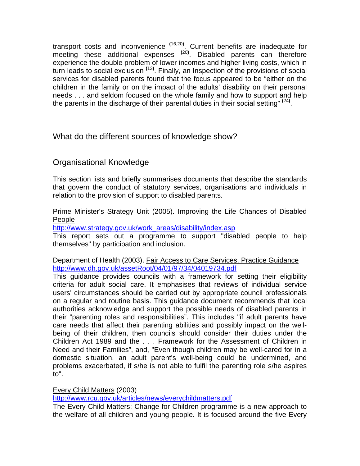transport costs and inconvenience **(**16,20**)** . Current benefits are inadequate for meeting these additional expenses **(**20**)** . Disabled parents can therefore experience the double problem of lower incomes and higher living costs, which in turn leads to social exclusion **(**13**)** . Finally, an Inspection of the provisions of social services for disabled parents found that the focus appeared to be "either on the children in the family or on the impact of the adults' disability on their personal needs . . . and seldom focused on the whole family and how to support and help the parents in the discharge of their parental duties in their social setting" **(**24**)** .

What do the different sources of knowledge show?

# Organisational Knowledge

This section lists and briefly summarises documents that describe the standards that govern the conduct of statutory services, organisations and individuals in relation to the provision of support to disabled parents.

Prime Minister's Strategy Unit (2005). Improving the Life Chances of Disabled People

http://www.strategy.gov.uk/work\_areas/disability/index.asp

This report sets out a programme to support "disabled people to help themselves" by participation and inclusion.

Department of Health (2003). Fair Access to Care Services. Practice Guidance http://www.dh.gov.uk/assetRoot/04/01/97/34/04019734.pdf

This guidance provides councils with a framework for setting their eligibility criteria for adult social care. It emphasises that reviews of individual service users' circumstances should be carried out by appropriate council professionals on a regular and routine basis. This guidance document recommends that local authorities acknowledge and support the possible needs of disabled parents in their "parenting roles and responsibilities". This includes "if adult parents have care needs that affect their parenting abilities and possibly impact on the wellbeing of their children, then councils should consider their duties under the Children Act 1989 and the . . . Framework for the Assessment of Children in Need and their Families", and, "Even though children may be well-cared for in a domestic situation, an adult parent's well-being could be undermined, and problems exacerbated, if s/he is not able to fulfil the parenting role s/he aspires to".

Every Child Matters (2003)

http://www.rcu.gov.uk/articles/news/everychildmatters.pdf

The Every Child Matters: Change for Children programme is a new approach to the welfare of all children and young people. It is focused around the five Every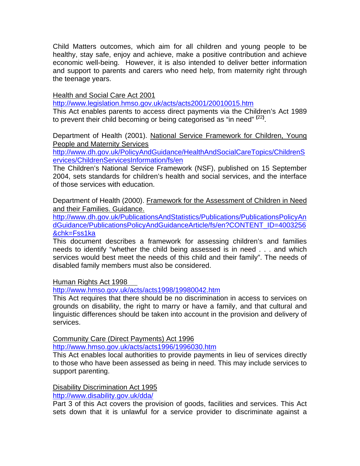Child Matters outcomes, which aim for all children and young people to be healthy, stay safe, enjoy and achieve, make a positive contribution and achieve economic well-being. However, it is also intended to deliver better information and support to parents and carers who need help, from maternity right through the teenage years.

Health and Social Care Act 2001

http://www.legislation.hmso.gov.uk/acts/acts2001/20010015.htm

This Act enables parents to access direct payments via the Children's Act 1989 to prevent their child becoming or being categorised as "in need" **(**22**)** .

Department of Health (2001). National Service Framework for Children, Young People and Maternity Services

http://www.dh.gov.uk/PolicyAndGuidance/HealthAndSocialCareTopics/ChildrenS ervices/ChildrenServicesInformation/fs/en

The Children's National Service Framework (NSF), published on 15 September 2004, sets standards for children's health and social services, and the interface of those services with education.

Department of Health (2000). Framework for the Assessment of Children in Need and their Families. Guidance.

http://www.dh.gov.uk/PublicationsAndStatistics/Publications/PublicationsPolicyAn dGuidance/PublicationsPolicyAndGuidanceArticle/fs/en?CONTENT\_ID=4003256 &chk=Fss1ka

This document describes a framework for assessing children's and families needs to identify "whether the child being assessed is in need . . . and which services would best meet the needs of this child and their family". The needs of disabled family members must also be considered.

Human Rights Act 1998

http://www.hmso.gov.uk/acts/acts1998/19980042.htm

This Act requires that there should be no discrimination in access to services on grounds on disability, the right to marry or have a family, and that cultural and linguistic differences should be taken into account in the provision and delivery of services.

Community Care (Direct Payments) Act 1996

http://www.hmso.gov.uk/acts/acts1996/1996030.htm

This Act enables local authorities to provide payments in lieu of services directly to those who have been assessed as being in need. This may include services to support parenting.

Disability Discrimination Act 1995 http://www.disability.gov.uk/dda/

Part 3 of this Act covers the provision of goods, facilities and services. This Act sets down that it is unlawful for a service provider to discriminate against a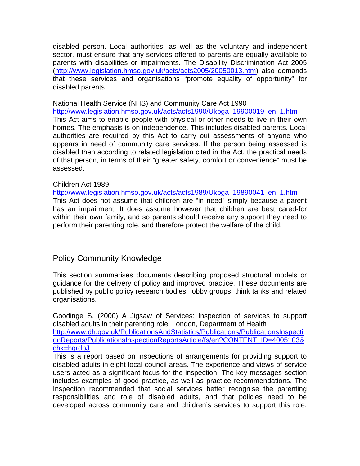disabled person. Local authorities, as well as the voluntary and independent sector, must ensure that any services offered to parents are equally available to parents with disabilities or impairments. The Disability Discrimination Act 2005 (http://www.legislation.hmso.gov.uk/acts/acts2005/20050013.htm) also demands that these services and organisations "promote equality of opportunity" for disabled parents.

#### National Health Service (NHS) and Community Care Act 1990

http://www.legislation.hmso.gov.uk/acts/acts1990/Ukpga\_19900019\_en\_1.htm This Act aims to enable people with physical or other needs to live in their own homes. The emphasis is on independence. This includes disabled parents. Local authorities are required by this Act to carry out assessments of anyone who appears in need of community care services. If the person being assessed is disabled then according to related legislation cited in the Act, the practical needs of that person, in terms of their "greater safety, comfort or convenience" must be assessed.

#### Children Act 1989

http://www.legislation.hmso.gov.uk/acts/acts1989/Ukpga\_19890041\_en\_1.htm This Act does not assume that children are "in need" simply because a parent has an impairment. It does assume however that children are best cared-for within their own family, and so parents should receive any support they need to perform their parenting role, and therefore protect the welfare of the child.

# Policy Community Knowledge

This section summarises documents describing proposed structural models or guidance for the delivery of policy and improved practice. These documents are published by public policy research bodies, lobby groups, think tanks and related organisations.

Goodinge S. (2000) A Jigsaw of Services: Inspection of services to support disabled adults in their parenting role. London, Department of Health http://www.dh.gov.uk/PublicationsAndStatistics/Publications/PublicationsInspecti onReports/PublicationsInspectionReportsArticle/fs/en?CONTENT\_ID=4005103& chk=hgrdpJ

This is a report based on inspections of arrangements for providing support to disabled adults in eight local council areas. The experience and views of service users acted as a significant focus for the inspection. The key messages section includes examples of good practice, as well as practice recommendations. The Inspection recommended that social services better recognise the parenting responsibilities and role of disabled adults, and that policies need to be developed across community care and children's services to support this role.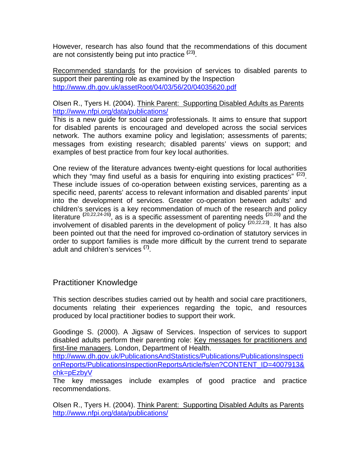However, research has also found that the recommendations of this document are not consistently being put into practice **(**23**)** .

Recommended standards for the provision of services to disabled parents to support their parenting role as examined by the Inspection http://www.dh.gov.uk/assetRoot/04/03/56/20/04035620.pdf

### Olsen R., Tyers H. (2004). Think Parent: Supporting Disabled Adults as Parents http://www.nfpi.org/data/publications/

This is a new guide for social care professionals. It aims to ensure that support for disabled parents is encouraged and developed across the social services network. The authors examine policy and legislation; assessments of parents; messages from existing research; disabled parents' views on support; and examples of best practice from four key local authorities.

One review of the literature advances twenty-eight questions for local authorities which they "may find useful as a basis for enquiring into existing practices" <sup>(22)</sup>. These include issues of co-operation between existing services, parenting as a specific need, parents' access to relevant information and disabled parents' input into the development of services. Greater co-operation between adults' and children's services is a key recommendation of much of the research and policy literature **(**20,22,24-26**)** , as is a specific assessment of parenting needs **(**20,26**)** and the involvement of disabled parents in the development of policy **(**20,22,23**)** . It has also been pointed out that the need for improved co-ordination of statutory services in order to support families is made more difficult by the current trend to separate adult and children's services **(**7**)** .

# Practitioner Knowledge

This section describes studies carried out by health and social care practitioners, documents relating their experiences regarding the topic, and resources produced by local practitioner bodies to support their work.

Goodinge S. (2000). A Jigsaw of Services. Inspection of services to support disabled adults perform their parenting role: Key messages for practitioners and first-line managers. London, Department of Health.

http://www.dh.gov.uk/PublicationsAndStatistics/Publications/PublicationsInspecti onReports/PublicationsInspectionReportsArticle/fs/en?CONTENT\_ID=4007913& chk=pEzbyV

The key messages include examples of good practice and practice recommendations.

Olsen R., Tyers H. (2004). Think Parent: Supporting Disabled Adults as Parents http://www.nfpi.org/data/publications/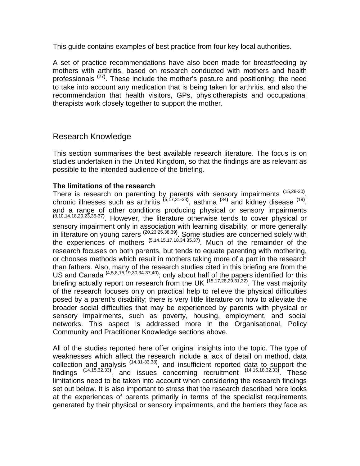This guide contains examples of best practice from four key local authorities.

A set of practice recommendations have also been made for breastfeeding by mothers with arthritis, based on research conducted with mothers and health professionals **(**27**)** . These include the mother's posture and positioning, the need to take into account any medication that is being taken for arthritis, and also the recommendation that health visitors, GPs, physiotherapists and occupational therapists work closely together to support the mother.

### Research Knowledge

This section summarises the best available research literature. The focus is on studies undertaken in the United Kingdom, so that the findings are as relevant as possible to the intended audience of the briefing.

### **The limitations of the research**

There is research on parenting by parents with sensory impairments **(**15,28-30**)** , chronic illnesses such as arthritis **(**5,17,31-33**)** , asthma **(**34**)** and kidney disease **(**19**)** , and a range of other conditions producing physical or sensory impairments  $(8,10,14,18,20,23,35-37)$ . However, the literature otherwise tends to cover physical or sensory impairment only in association with learning disability, or more generally in literature on young carers **(**20,23,25,38,39**)** . Some studies are concerned solely with the experiences of mothers **(**5,14,15,17,18,34,35,37**)** . Much of the remainder of the research focuses on both parents, but tends to equate parenting with mothering, or chooses methods which result in mothers taking more of a part in the research than fathers. Also, many of the research studies cited in this briefing are from the US and Canada **(**4,5,8,15,19,30,34-37,40**)** ; only about half of the papers identified for this briefing actually report on research from the UK **(**15,17,28,29,31,32**)** . The vast majority of the research focuses only on practical help to relieve the physical difficulties posed by a parent's disability; there is very little literature on how to alleviate the broader social difficulties that may be experienced by parents with physical or sensory impairments, such as poverty, housing, employment, and social networks. This aspect is addressed more in the Organisational, Policy Community and Practitioner Knowledge sections above.

All of the studies reported here offer original insights into the topic. The type of weaknesses which affect the research include a lack of detail on method, data collection and analysis **(**14,31-33,38**)** , and insufficient reported data to support the findings **(**14,15,32,33**)** , and issues concerning recruitment **(**14,15,18,32,33**)** . These limitations need to be taken into account when considering the research findings set out below. It is also important to stress that the research described here looks at the experiences of parents primarily in terms of the specialist requirements generated by their physical or sensory impairments, and the barriers they face as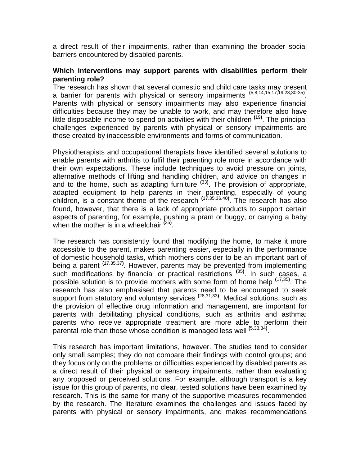a direct result of their impairments, rather than examining the broader social barriers encountered by disabled parents.

#### **Which interventions may support parents with disabilities perform their parenting role?**

The research has shown that several domestic and child care tasks may present a barrier for parents with physical or sensory impairments **(**5,8,14,15,17,19,28,30-35**)** . Parents with physical or sensory impairments may also experience financial difficulties because they may be unable to work, and may therefore also have little disposable income to spend on activities with their children **(**19**)** . The principal challenges experienced by parents with physical or sensory impairments are those created by inaccessible environments and forms of communication.

Physiotherapists and occupational therapists have identified several solutions to enable parents with arthritis to fulfil their parenting role more in accordance with their own expectations. These include techniques to avoid pressure on joints, alternative methods of lifting and handling children, and advice on changes in and to the home, such as adapting furniture **(**33**)** . The provision of appropriate, adapted equipment to help parents in their parenting, especially of young children, is a constant theme of the research **(**17,35,36,40**)** . The research has also found, however, that there is a lack of appropriate products to support certain aspects of parenting, for example, pushing a pram or buggy, or carrying a baby when the mother is in a wheelchair **(**35**)** .

The research has consistently found that modifying the home, to make it more accessible to the parent, makes parenting easier, especially in the performance of domestic household tasks, which mothers consider to be an important part of being a parent **(**17,35,37**)** . However, parents may be prevented from implementing such modifications by financial or practical restrictions **(**35**)** . In such cases, a possible solution is to provide mothers with some form of home help **(**17,35**)** . The research has also emphasised that parents need to be encouraged to seek support from statutory and voluntary services **(**28,31,33**)** . Medical solutions, such as the provision of effective drug information and management, are important for parents with debilitating physical conditions, such as arthritis and asthma: parents who receive appropriate treatment are more able to perform their parental role than those whose condition is managed less well **(**5,33,34**)** .

This research has important limitations, however. The studies tend to consider only small samples; they do not compare their findings with control groups; and they focus only on the problems or difficulties experienced by disabled parents as a direct result of their physical or sensory impairments, rather than evaluating any proposed or perceived solutions. For example, although transport is a key issue for this group of parents, no clear, tested solutions have been examined by research. This is the same for many of the supportive measures recommended by the research. The literature examines the challenges and issues faced by parents with physical or sensory impairments, and makes recommendations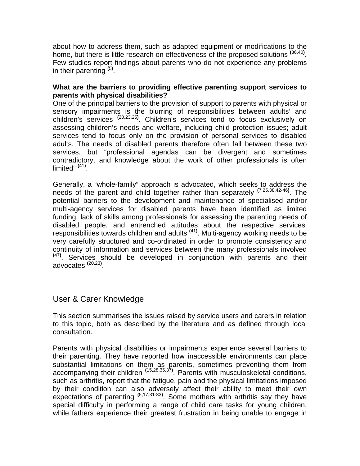about how to address them, such as adapted equipment or modifications to the home, but there is little research on effectiveness of the proposed solutions **(**36,40**)** . Few studies report findings about parents who do not experience any problems in their parenting **(**5**)** .

### **What are the barriers to providing effective parenting support services to parents with physical disabilities?**

One of the principal barriers to the provision of support to parents with physical or sensory impairments is the blurring of responsibilities between adults' and children's services **(**20,23,25**)** . Children's services tend to focus exclusively on assessing children's needs and welfare, including child protection issues; adult services tend to focus only on the provision of personal services to disabled adults. The needs of disabled parents therefore often fall between these two services, but "professional agendas can be divergent and sometimes contradictory, and knowledge about the work of other professionals is often limited" **(**41**)** .

Generally, a "whole-family" approach is advocated, which seeks to address the needs of the parent and child together rather than separately **(**7,25,38,42-46**)** . The potential barriers to the development and maintenance of specialised and/or multi-agency services for disabled parents have been identified as limited funding, lack of skills among professionals for assessing the parenting needs of disabled people, and entrenched attitudes about the respective services' responsibilities towards children and adults **(**41**)** . Multi-agency working needs to be very carefully structured and co-ordinated in order to promote consistency and continuity of information and services between the many professionals involved **(**47**)** . Services should be developed in conjunction with parents and their advocates **(**20,23**)** .

# User & Carer Knowledge

This section summarises the issues raised by service users and carers in relation to this topic, both as described by the literature and as defined through local consultation.

Parents with physical disabilities or impairments experience several barriers to their parenting. They have reported how inaccessible environments can place substantial limitations on them as parents, sometimes preventing them from accompanying their children **(**15,28,35,37**)** . Parents with musculoskeletal conditions, such as arthritis, report that the fatigue, pain and the physical limitations imposed by their condition can also adversely affect their ability to meet their own expectations of parenting **(**5,17,31-33**)** . Some mothers with arthritis say they have special difficulty in performing a range of child care tasks for young children, while fathers experience their greatest frustration in being unable to engage in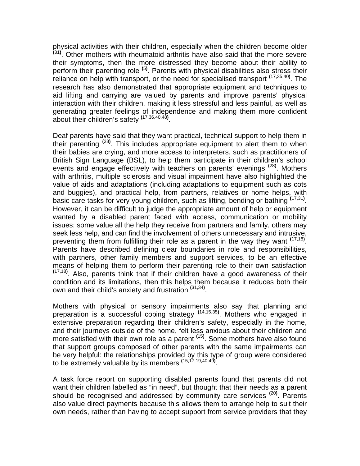physical activities with their children, especially when the children become older **(**31**)** . Other mothers with rheumatoid arthritis have also said that the more severe their symptoms, then the more distressed they become about their ability to perform their parenting role **(**5**)** . Parents with physical disabilities also stress their reliance on help with transport, or the need for specialised transport **(**17,35,40**)** . The research has also demonstrated that appropriate equipment and techniques to aid lifting and carrying are valued by parents and improve parents' physical interaction with their children, making it less stressful and less painful, as well as generating greater feelings of independence and making them more confident about their children's safety **(**17,36,40,48**)** .

Deaf parents have said that they want practical, technical support to help them in their parenting **(**28**)** . This includes appropriate equipment to alert them to when their babies are crying, and more access to interpreters, such as practitioners of British Sign Language (BSL), to help them participate in their children's school events and engage effectively with teachers on parents' evenings **(**28**)** . Mothers with arthritis, multiple sclerosis and visual impairment have also highlighted the value of aids and adaptations (including adaptations to equipment such as cots and buggies), and practical help, from partners, relatives or home helps, with basic care tasks for very young children, such as lifting, bending or bathing **(**17,31**)** . However, it can be difficult to judge the appropriate amount of help or equipment wanted by a disabled parent faced with access, communication or mobility issues: some value all the help they receive from partners and family, others may seek less help, and can find the involvement of others unnecessary and intrusive, preventing them from fulfilling their role as a parent in the way they want **(**17,18**)** . Parents have described defining clear boundaries in role and responsibilities, with partners, other family members and support services, to be an effective means of helping them to perform their parenting role to their own satisfaction  $(17,18)$ . Also, parents think that if their children have a good awareness of their condition and its limitations, then this helps them because it reduces both their own and their child's anxiety and frustration **(**31,34**)** .

Mothers with physical or sensory impairments also say that planning and preparation is a successful coping strategy **(**14,15,35**)** . Mothers who engaged in extensive preparation regarding their children's safety, especially in the home, and their journeys outside of the home, felt less anxious about their children and more satisfied with their own role as a parent **(**15**)** . Some mothers have also found that support groups composed of other parents with the same impairments can be very helpful: the relationships provided by this type of group were considered to be extremely valuable by its members **(**15,17,19,40,49**)** .

A task force report on supporting disabled parents found that parents did not want their children labelled as "in need", but thought that their needs as a parent should be recognised and addressed by community care services **(**20**)** . Parents also value direct payments because this allows them to arrange help to suit their own needs, rather than having to accept support from service providers that they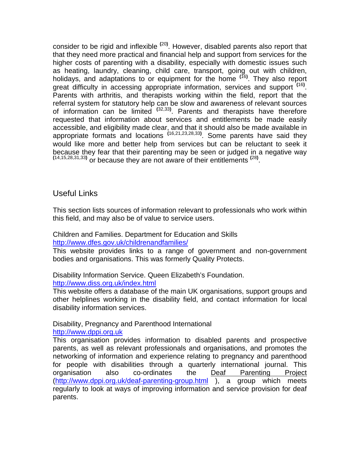consider to be rigid and inflexible **(**20**)** . However, disabled parents also report that that they need more practical and financial help and support from services for the higher costs of parenting with a disability, especially with domestic issues such as heating, laundry, cleaning, child care, transport, going out with children, holidays, and adaptations to or equipment for the home **(**16**)** . They also report great difficulty in accessing appropriate information, services and support **(**16**)** . Parents with arthritis, and therapists working within the field, report that the referral system for statutory help can be slow and awareness of relevant sources of information can be limited **(**32,33**)** . Parents and therapists have therefore requested that information about services and entitlements be made easily accessible, and eligibility made clear, and that it should also be made available in appropriate formats and locations **(**16,21,23,28,33**)** . Some parents have said they would like more and better help from services but can be reluctant to seek it because they fear that their parenting may be seen or judged in a negative way or because they are not aware of their entitlements **(**28**)** .

# Useful Links

This section lists sources of information relevant to professionals who work within this field, and may also be of value to service users.

#### Children and Families. Department for Education and Skills http://www.dfes.gov.uk/childrenandfamilies/

This website provides links to a range of government and non-government bodies and organisations. This was formerly Quality Protects.

Disability Information Service. Queen Elizabeth's Foundation. http://www.diss.org.uk/index.html

This website offers a database of the main UK organisations, support groups and other helplines working in the disability field, and contact information for local disability information services.

### Disability, Pregnancy and Parenthood International

http://www.dppi.org.uk

This organisation provides information to disabled parents and prospective parents, as well as relevant professionals and organisations, and promotes the networking of information and experience relating to pregnancy and parenthood for people with disabilities through a quarterly international journal. This organisation also co-ordinates the Deaf Parenting Project (http://www.dppi.org.uk/deaf-parenting-group.html ), a group which meets regularly to look at ways of improving information and service provision for deaf parents.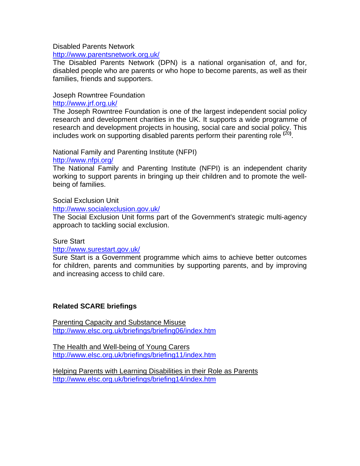#### Disabled Parents Network

http://www.parentsnetwork.org.uk/

The Disabled Parents Network (DPN) is a national organisation of, and for, disabled people who are parents or who hope to become parents, as well as their families, friends and supporters.

# Joseph Rowntree Foundation

http://www.jrf.org.uk/

The Joseph Rowntree Foundation is one of the largest independent social policy research and development charities in the UK. It supports a wide programme of research and development projects in housing, social care and social policy. This includes work on supporting disabled parents perform their parenting role **(**20**)** .

National Family and Parenting Institute (NFPI) http://www.nfpi.org/

The National Family and Parenting Institute (NFPI) is an independent charity working to support parents in bringing up their children and to promote the wellbeing of families.

### Social Exclusion Unit

http://www.socialexclusion.gov.uk/

The Social Exclusion Unit forms part of the Government's strategic multi-agency approach to tackling social exclusion.

### Sure Start

### http://www.surestart.gov.uk/

Sure Start is a Government programme which aims to achieve better outcomes for children, parents and communities by supporting parents, and by improving and increasing access to child care.

### **Related SCARE briefings**

Parenting Capacity and Substance Misuse http://www.elsc.org.uk/briefings/briefing06/index.htm

The Health and Well-being of Young Carers http://www.elsc.org.uk/briefings/briefing11/index.htm

Helping Parents with Learning Disabilities in their Role as Parents http://www.elsc.org.uk/briefings/briefing14/index.htm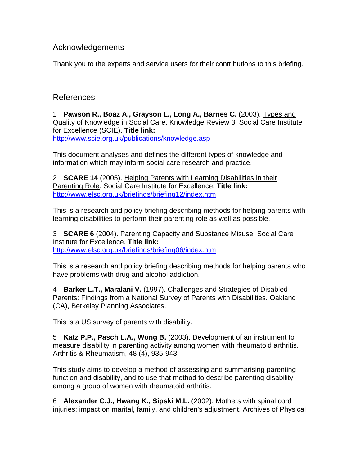# Acknowledgements

Thank you to the experts and service users for their contributions to this briefing.

# References

1 **Pawson R., Boaz A., Grayson L., Long A., Barnes C.** (2003). Types and Quality of Knowledge in Social Care. Knowledge Review 3. Social Care Institute for Excellence (SCIE). **Title link:** http://www.scie.org.uk/publications/knowledge.asp

This document analyses and defines the different types of knowledge and information which may inform social care research and practice.

2 **SCARE 14** (2005). Helping Parents with Learning Disabilities in their Parenting Role. Social Care Institute for Excellence. **Title link:** http://www.elsc.org.uk/briefings/briefing12/index.htm

This is a research and policy briefing describing methods for helping parents with learning disabilities to perform their parenting role as well as possible.

3 **SCARE 6** (2004). Parenting Capacity and Substance Misuse. Social Care Institute for Excellence. **Title link:** http://www.elsc.org.uk/briefings/briefing06/index.htm

This is a research and policy briefing describing methods for helping parents who have problems with drug and alcohol addiction.

4 **Barker L.T., Maralani V.** (1997). Challenges and Strategies of Disabled Parents: Findings from a National Survey of Parents with Disabilities. Oakland (CA), Berkeley Planning Associates.

This is a US survey of parents with disability.

5 **Katz P.P., Pasch L.A., Wong B.** (2003). Development of an instrument to measure disability in parenting activity among women with rheumatoid arthritis. Arthritis & Rheumatism, 48 (4), 935-943.

This study aims to develop a method of assessing and summarising parenting function and disability, and to use that method to describe parenting disability among a group of women with rheumatoid arthritis.

6 **Alexander C.J., Hwang K., Sipski M.L.** (2002). Mothers with spinal cord injuries: impact on marital, family, and children's adjustment. Archives of Physical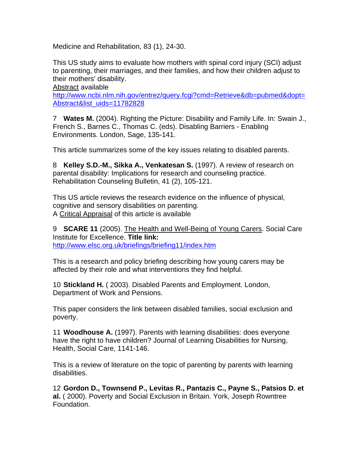Medicine and Rehabilitation, 83 (1), 24-30.

This US study aims to evaluate how mothers with spinal cord injury (SCI) adjust to parenting, their marriages, and their families, and how their children adjust to their mothers' disability.

Abstract available http://www.ncbi.nlm.nih.gov/entrez/query.fcgi?cmd=Retrieve&db=pubmed&dopt= Abstract&list\_uids=11782828

7 **Wates M.** (2004). Righting the Picture: Disability and Family Life. In: Swain J., French S., Barnes C., Thomas C. (eds). Disabling Barriers - Enabling Environments. London, Sage, 135-141.

This article summarizes some of the key issues relating to disabled parents.

8 **Kelley S.D.-M., Sikka A., Venkatesan S.** (1997). A review of research on parental disability: Implications for research and counseling practice. Rehabilitation Counseling Bulletin, 41 (2), 105-121.

This US article reviews the research evidence on the influence of physical, cognitive and sensory disabilities on parenting. A Critical Appraisal of this article is available

9 **SCARE 11** (2005). The Health and Well-Being of Young Carers. Social Care Institute for Excellence. **Title link:** http://www.elsc.org.uk/briefings/briefing11/index.htm

This is a research and policy briefing describing how young carers may be affected by their role and what interventions they find helpful.

10 **Stickland H.** ( 2003). Disabled Parents and Employment. London, Department of Work and Pensions.

This paper considers the link between disabled families, social exclusion and poverty.

11 **Woodhouse A.** (1997). Parents with learning disabilities: does everyone have the right to have children? Journal of Learning Disabilities for Nursing, Health, Social Care, 1141-146.

This is a review of literature on the topic of parenting by parents with learning disabilities.

12 **Gordon D., Townsend P., Levitas R., Pantazis C., Payne S., Patsios D. et al.** ( 2000). Poverty and Social Exclusion in Britain. York, Joseph Rowntree Foundation.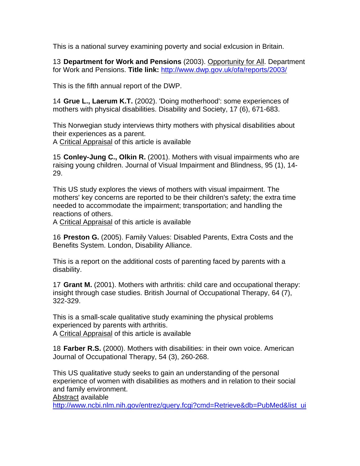This is a national survey examining poverty and social exlcusion in Britain.

13 **Department for Work and Pensions** (2003). Opportunity for All. Department for Work and Pensions. **Title link:** http://www.dwp.gov.uk/ofa/reports/2003/

This is the fifth annual report of the DWP.

14 **Grue L., Laerum K.T.** (2002). 'Doing motherhood': some experiences of mothers with physical disabilities. Disability and Society, 17 (6), 671-683.

This Norwegian study interviews thirty mothers with physical disabilities about their experiences as a parent.

A Critical Appraisal of this article is available

15 **Conley-Jung C., Olkin R.** (2001). Mothers with visual impairments who are raising young children. Journal of Visual Impairment and Blindness, 95 (1), 14- 29.

This US study explores the views of mothers with visual impairment. The mothers' key concerns are reported to be their children's safety; the extra time needed to accommodate the impairment; transportation; and handling the reactions of others.

A Critical Appraisal of this article is available

16 **Preston G.** (2005). Family Values: Disabled Parents, Extra Costs and the Benefits System. London, Disability Alliance.

This is a report on the additional costs of parenting faced by parents with a disability.

17 **Grant M.** (2001). Mothers with arthritis: child care and occupational therapy: insight through case studies. British Journal of Occupational Therapy, 64 (7), 322-329.

This is a small-scale qualitative study examining the physical problems experienced by parents with arthritis.

A Critical Appraisal of this article is available

18 **Farber R.S.** (2000). Mothers with disabilities: in their own voice. American Journal of Occupational Therapy, 54 (3), 260-268.

This US qualitative study seeks to gain an understanding of the personal experience of women with disabilities as mothers and in relation to their social and family environment.

Abstract available

http://www.ncbi.nlm.nih.gov/entrez/query.fcgi?cmd=Retrieve&db=PubMed&list\_ui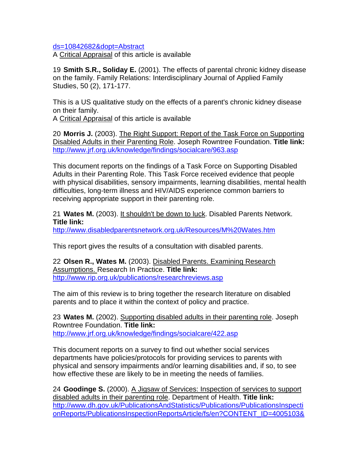ds=10842682&dopt=Abstract

A Critical Appraisal of this article is available

19 **Smith S.R., Soliday E.** (2001). The effects of parental chronic kidney disease on the family. Family Relations: Interdisciplinary Journal of Applied Family Studies, 50 (2), 171-177.

This is a US qualitative study on the effects of a parent's chronic kidney disease on their family.

A Critical Appraisal of this article is available

20 **Morris J.** (2003). The Right Support: Report of the Task Force on Supporting Disabled Adults in their Parenting Role. Joseph Rowntree Foundation. **Title link:** http://www.jrf.org.uk/knowledge/findings/socialcare/963.asp

This document reports on the findings of a Task Force on Supporting Disabled Adults in their Parenting Role. This Task Force received evidence that people with physical disabilities, sensory impairments, learning disabilities, mental health difficulties, long-term illness and HIV/AIDS experience common barriers to receiving appropriate support in their parenting role.

21 **Wates M.** (2003). It shouldn't be down to luck. Disabled Parents Network. **Title link:**

http://www.disabledparentsnetwork.org.uk/Resources/M%20Wates.htm

This report gives the results of a consultation with disabled parents.

22 **Olsen R., Wates M.** (2003). Disabled Parents. Examining Research Assumptions. Research In Practice. **Title link:** http://www.rip.org.uk/publications/researchreviews.asp

The aim of this review is to bring together the research literature on disabled parents and to place it within the context of policy and practice.

23 **Wates M.** (2002). Supporting disabled adults in their parenting role. Joseph Rowntree Foundation. **Title link:** http://www.jrf.org.uk/knowledge/findings/socialcare/422.asp

This document reports on a survey to find out whether social services departments have policies/protocols for providing services to parents with physical and sensory impairments and/or learning disabilities and, if so, to see how effective these are likely to be in meeting the needs of families.

24 **Goodinge S.** (2000). A Jigsaw of Services: Inspection of services to support disabled adults in their parenting role. Department of Health. **Title link:** http://www.dh.gov.uk/PublicationsAndStatistics/Publications/PublicationsInspecti onReports/PublicationsInspectionReportsArticle/fs/en?CONTENT\_ID=4005103&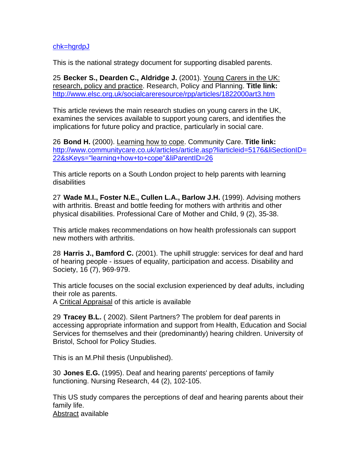### chk=hgrdpJ

This is the national strategy document for supporting disabled parents.

25 **Becker S., Dearden C., Aldridge J.** (2001). Young Carers in the UK: research, policy and practice. Research, Policy and Planning. **Title link:** http://www.elsc.org.uk/socialcareresource/rpp/articles/1822000art3.htm

This article reviews the main research studies on young carers in the UK, examines the services available to support young carers, and identifies the implications for future policy and practice, particularly in social care.

26 **Bond H.** (2000). Learning how to cope. Community Care. **Title link:** http://www.communitycare.co.uk/articles/article.asp?liarticleid=5176&liSectionID= 22&sKeys="learning+how+to+cope"&liParentID=26

This article reports on a South London project to help parents with learning disabilities

27 **Wade M.I., Foster N.E., Cullen L.A., Barlow J.H.** (1999). Advising mothers with arthritis. Breast and bottle feeding for mothers with arthritis and other physical disabilities. Professional Care of Mother and Child, 9 (2), 35-38.

This article makes recommendations on how health professionals can support new mothers with arthritis.

28 **Harris J., Bamford C.** (2001). The uphill struggle: services for deaf and hard of hearing people - issues of equality, participation and access. Disability and Society, 16 (7), 969-979.

This article focuses on the social exclusion experienced by deaf adults, including their role as parents.

A Critical Appraisal of this article is available

29 **Tracey B.L.** ( 2002). Silent Partners? The problem for deaf parents in accessing appropriate information and support from Health, Education and Social Services for themselves and their (predominantly) hearing children. University of Bristol, School for Policy Studies.

This is an M.Phil thesis (Unpublished).

30 **Jones E.G.** (1995). Deaf and hearing parents' perceptions of family functioning. Nursing Research, 44 (2), 102-105.

This US study compares the perceptions of deaf and hearing parents about their family life. Abstract available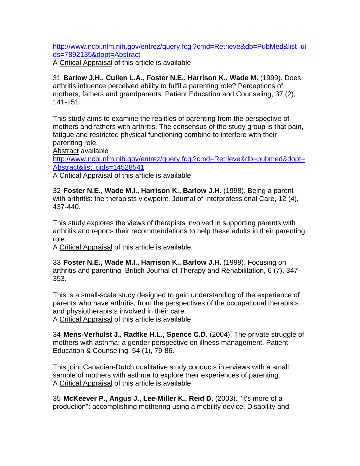http://www.ncbi.nlm.nih.gov/entrez/query.fcgi?cmd=Retrieve&db=PubMed&list\_ui ds=7892135&dopt=Abstract

A Critical Appraisal of this article is available

31 **Barlow J.H., Cullen L.A., Foster N.E., Harrison K., Wade M.** (1999). Does arthritis influence perceived ability to fulfil a parenting role? Perceptions of mothers, fathers and grandparents. Patient Education and Counseling, 37 (2), 141-151.

This study aims to examine the realities of parenting from the perspective of mothers and fathers with arthritis. The consensus of the study group is that pain, fatigue and restricted physical functioning combine to interfere with their parenting role.

Abstract available

http://www.ncbi.nlm.nih.gov/entrez/query.fcgi?cmd=Retrieve&db=pubmed&dopt= Abstract&list\_uids=14528541

A Critical Appraisal of this article is available

32 **Foster N.E., Wade M.I., Harrison K., Barlow J.H.** (1998). Being a parent with arthritis: the therapists viewpoint. Journal of Interprofessional Care, 12 (4), 437-440.

This study explores the views of therapists involved in supporting parents with arthritis and reports their recommendations to help these adults in their parenting role.

A Critical Appraisal of this article is available

33 **Foster N.E., Wade M.I., Harrison K., Barlow J.H.** (1999). Focusing on arthritis and parenting. British Journal of Therapy and Rehabilitation, 6 (7), 347- 353.

This is a small-scale study designed to gain understanding of the experience of parents who have arthritis, from the perspectives of the occupational therapists and physiotherapists involved in their care.

A Critical Appraisal of this article is available

34 **Mens-Verhulst J., Radtke H.L., Spence C.D.** (2004). The private struggle of mothers with asthma: a gender perspective on illness management. Patient Education & Counseling, 54 (1), 79-86.

This joint Canadian-Dutch qualitative study conducts interviews with a small sample of mothers with asthma to explore their experiences of parenting. A Critical Appraisal of this article is available

35 **McKeever P., Angus J., Lee-Miller K., Reid D.** (2003). "It's more of a production": accomplishing mothering using a mobility device. Disability and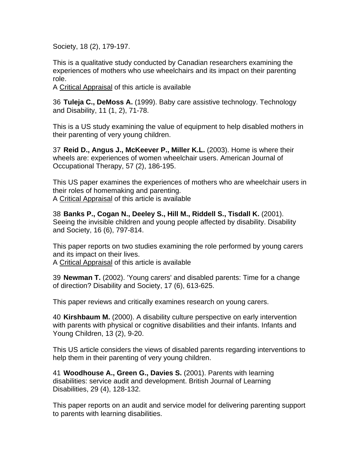Society, 18 (2), 179-197.

This is a qualitative study conducted by Canadian researchers examining the experiences of mothers who use wheelchairs and its impact on their parenting role.

A Critical Appraisal of this article is available

36 **Tuleja C., DeMoss A.** (1999). Baby care assistive technology. Technology and Disability, 11 (1, 2), 71-78.

This is a US study examining the value of equipment to help disabled mothers in their parenting of very young children.

37 **Reid D., Angus J., McKeever P., Miller K.L.** (2003). Home is where their wheels are: experiences of women wheelchair users. American Journal of Occupational Therapy, 57 (2), 186-195.

This US paper examines the experiences of mothers who are wheelchair users in their roles of homemaking and parenting. A Critical Appraisal of this article is available

38 **Banks P., Cogan N., Deeley S., Hill M., Riddell S., Tisdall K.** (2001). Seeing the invisible children and young people affected by disability. Disability and Society, 16 (6), 797-814.

This paper reports on two studies examining the role performed by young carers and its impact on their lives.

A Critical Appraisal of this article is available

39 **Newman T.** (2002). 'Young carers' and disabled parents: Time for a change of direction? Disability and Society, 17 (6), 613-625.

This paper reviews and critically examines research on young carers.

40 **Kirshbaum M.** (2000). A disability culture perspective on early intervention with parents with physical or cognitive disabilities and their infants. Infants and Young Children, 13 (2), 9-20.

This US article considers the views of disabled parents regarding interventions to help them in their parenting of very young children.

41 **Woodhouse A., Green G., Davies S.** (2001). Parents with learning disabilities: service audit and development. British Journal of Learning Disabilities, 29 (4), 128-132.

This paper reports on an audit and service model for delivering parenting support to parents with learning disabilities.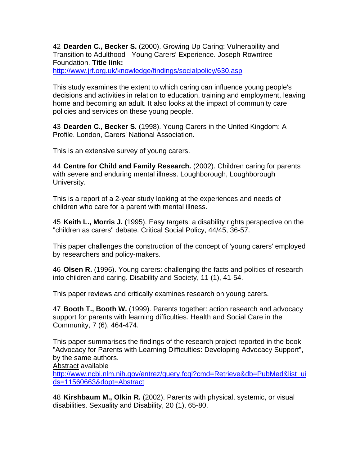42 **Dearden C., Becker S.** (2000). Growing Up Caring: Vulnerability and Transition to Adulthood - Young Carers' Experience. Joseph Rowntree Foundation. **Title link:**

http://www.jrf.org.uk/knowledge/findings/socialpolicy/630.asp

This study examines the extent to which caring can influence young people's decisions and activities in relation to education, training and employment, leaving home and becoming an adult. It also looks at the impact of community care policies and services on these young people.

43 **Dearden C., Becker S.** (1998). Young Carers in the United Kingdom: A Profile. London, Carers' National Association.

This is an extensive survey of young carers.

44 **Centre for Child and Family Research.** (2002). Children caring for parents with severe and enduring mental illness. Loughborough, Loughborough University.

This is a report of a 2-year study looking at the experiences and needs of children who care for a parent with mental illness.

45 **Keith L., Morris J.** (1995). Easy targets: a disability rights perspective on the "children as carers" debate. Critical Social Policy, 44/45, 36-57.

This paper challenges the construction of the concept of 'young carers' employed by researchers and policy-makers.

46 **Olsen R.** (1996). Young carers: challenging the facts and politics of research into children and caring. Disability and Society, 11 (1), 41-54.

This paper reviews and critically examines research on young carers.

47 **Booth T., Booth W.** (1999). Parents together: action research and advocacy support for parents with learning difficulties. Health and Social Care in the Community, 7 (6), 464-474.

This paper summarises the findings of the research project reported in the book "Advocacy for Parents with Learning Difficulties: Developing Advocacy Support", by the same authors.

Abstract available

http://www.ncbi.nlm.nih.gov/entrez/query.fcgi?cmd=Retrieve&db=PubMed&list\_ui ds=11560663&dopt=Abstract

48 **Kirshbaum M., Olkin R.** (2002). Parents with physical, systemic, or visual disabilities. Sexuality and Disability, 20 (1), 65-80.